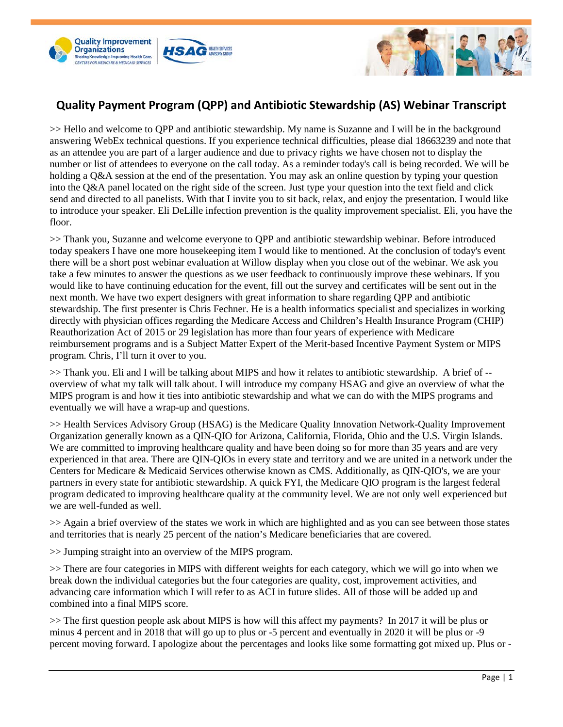



## **Quality Payment Program (QPP) and Antibiotic Stewardship (AS) Webinar Transcript**

>> Hello and welcome to QPP and antibiotic stewardship. My name is Suzanne and I will be in the background answering WebEx technical questions. If you experience technical difficulties, please dial 18663239 and note that as an attendee you are part of a larger audience and due to privacy rights we have chosen not to display the number or list of attendees to everyone on the call today. As a reminder today's call is being recorded. We will be holding a Q&A session at the end of the presentation. You may ask an online question by typing your question into the Q&A panel located on the right side of the screen. Just type your question into the text field and click send and directed to all panelists. With that I invite you to sit back, relax, and enjoy the presentation. I would like to introduce your speaker. Eli DeLille infection prevention is the quality improvement specialist. Eli, you have the floor.

>> Thank you, Suzanne and welcome everyone to QPP and antibiotic stewardship webinar. Before introduced today speakers I have one more housekeeping item I would like to mentioned. At the conclusion of today's event there will be a short post webinar evaluation at Willow display when you close out of the webinar. We ask you take a few minutes to answer the questions as we user feedback to continuously improve these webinars. If you would like to have continuing education for the event, fill out the survey and certificates will be sent out in the next month. We have two expert designers with great information to share regarding QPP and antibiotic stewardship. The first presenter is Chris Fechner. He is a health informatics specialist and specializes in working directly with physician offices regarding the Medicare Access and Children's Health Insurance Program (CHIP) Reauthorization Act of 2015 or 29 legislation has more than four years of experience with Medicare reimbursement programs and is a Subject Matter Expert of the Merit-based Incentive Payment System or MIPS program. Chris, I'll turn it over to you.

 $\gg$  Thank you. Eli and I will be talking about MIPS and how it relates to antibiotic stewardship. A brief of -overview of what my talk will talk about. I will introduce my company HSAG and give an overview of what the MIPS program is and how it ties into antibiotic stewardship and what we can do with the MIPS programs and eventually we will have a wrap-up and questions.

>> Health Services Advisory Group (HSAG) is the Medicare Quality Innovation Network-Quality Improvement Organization generally known as a QIN-QIO for Arizona, California, Florida, Ohio and the U.S. Virgin Islands. We are committed to improving healthcare quality and have been doing so for more than 35 years and are very experienced in that area. There are QIN-QIOs in every state and territory and we are united in a network under the Centers for Medicare & Medicaid Services otherwise known as CMS. Additionally, as QIN-QIO's, we are your partners in every state for antibiotic stewardship. A quick FYI, the Medicare QIO program is the largest federal program dedicated to improving healthcare quality at the community level. We are not only well experienced but we are well-funded as well.

>> Again a brief overview of the states we work in which are highlighted and as you can see between those states and territories that is nearly 25 percent of the nation's Medicare beneficiaries that are covered.

>> Jumping straight into an overview of the MIPS program.

>> There are four categories in MIPS with different weights for each category, which we will go into when we break down the individual categories but the four categories are quality, cost, improvement activities, and advancing care information which I will refer to as ACI in future slides. All of those will be added up and combined into a final MIPS score.

>> The first question people ask about MIPS is how will this affect my payments? In 2017 it will be plus or minus 4 percent and in 2018 that will go up to plus or -5 percent and eventually in 2020 it will be plus or -9 percent moving forward. I apologize about the percentages and looks like some formatting got mixed up. Plus or -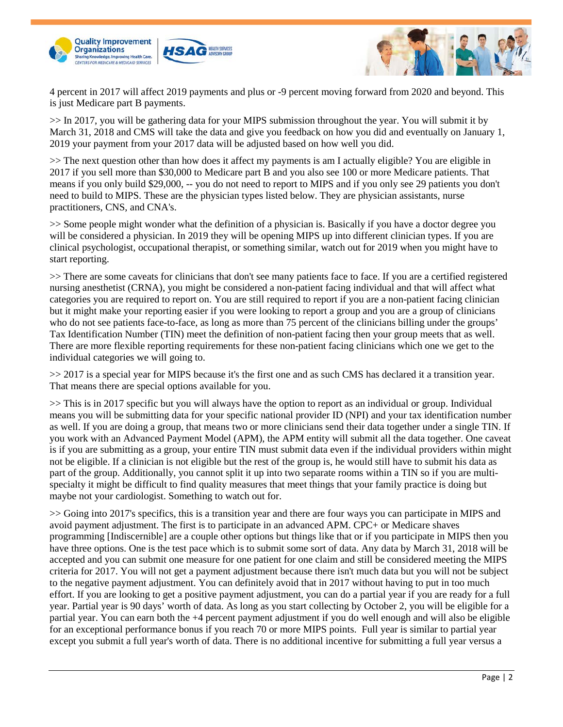



4 percent in 2017 will affect 2019 payments and plus or -9 percent moving forward from 2020 and beyond. This is just Medicare part B payments.

>> In 2017, you will be gathering data for your MIPS submission throughout the year. You will submit it by March 31, 2018 and CMS will take the data and give you feedback on how you did and eventually on January 1, 2019 your payment from your 2017 data will be adjusted based on how well you did.

>> The next question other than how does it affect my payments is am I actually eligible? You are eligible in 2017 if you sell more than \$30,000 to Medicare part B and you also see 100 or more Medicare patients. That means if you only build \$29,000, -- you do not need to report to MIPS and if you only see 29 patients you don't need to build to MIPS. These are the physician types listed below. They are physician assistants, nurse practitioners, CNS, and CNA's.

>> Some people might wonder what the definition of a physician is. Basically if you have a doctor degree you will be considered a physician. In 2019 they will be opening MIPS up into different clinician types. If you are clinical psychologist, occupational therapist, or something similar, watch out for 2019 when you might have to start reporting.

>> There are some caveats for clinicians that don't see many patients face to face. If you are a certified registered nursing anesthetist (CRNA), you might be considered a non-patient facing individual and that will affect what categories you are required to report on. You are still required to report if you are a non-patient facing clinician but it might make your reporting easier if you were looking to report a group and you are a group of clinicians who do not see patients face-to-face, as long as more than 75 percent of the clinicians billing under the groups' Tax Identification Number (TIN) meet the definition of non-patient facing then your group meets that as well. There are more flexible reporting requirements for these non-patient facing clinicians which one we get to the individual categories we will going to.

>> 2017 is a special year for MIPS because it's the first one and as such CMS has declared it a transition year. That means there are special options available for you.

>> This is in 2017 specific but you will always have the option to report as an individual or group. Individual means you will be submitting data for your specific national provider ID (NPI) and your tax identification number as well. If you are doing a group, that means two or more clinicians send their data together under a single TIN. If you work with an Advanced Payment Model (APM), the APM entity will submit all the data together. One caveat is if you are submitting as a group, your entire TIN must submit data even if the individual providers within might not be eligible. If a clinician is not eligible but the rest of the group is, he would still have to submit his data as part of the group. Additionally, you cannot split it up into two separate rooms within a TIN so if you are multispecialty it might be difficult to find quality measures that meet things that your family practice is doing but maybe not your cardiologist. Something to watch out for.

>> Going into 2017's specifics, this is a transition year and there are four ways you can participate in MIPS and avoid payment adjustment. The first is to participate in an advanced APM. CPC+ or Medicare shaves programming [Indiscernible] are a couple other options but things like that or if you participate in MIPS then you have three options. One is the test pace which is to submit some sort of data. Any data by March 31, 2018 will be accepted and you can submit one measure for one patient for one claim and still be considered meeting the MIPS criteria for 2017. You will not get a payment adjustment because there isn't much data but you will not be subject to the negative payment adjustment. You can definitely avoid that in 2017 without having to put in too much effort. If you are looking to get a positive payment adjustment, you can do a partial year if you are ready for a full year. Partial year is 90 days' worth of data. As long as you start collecting by October 2, you will be eligible for a partial year. You can earn both the +4 percent payment adjustment if you do well enough and will also be eligible for an exceptional performance bonus if you reach 70 or more MIPS points. Full year is similar to partial year except you submit a full year's worth of data. There is no additional incentive for submitting a full year versus a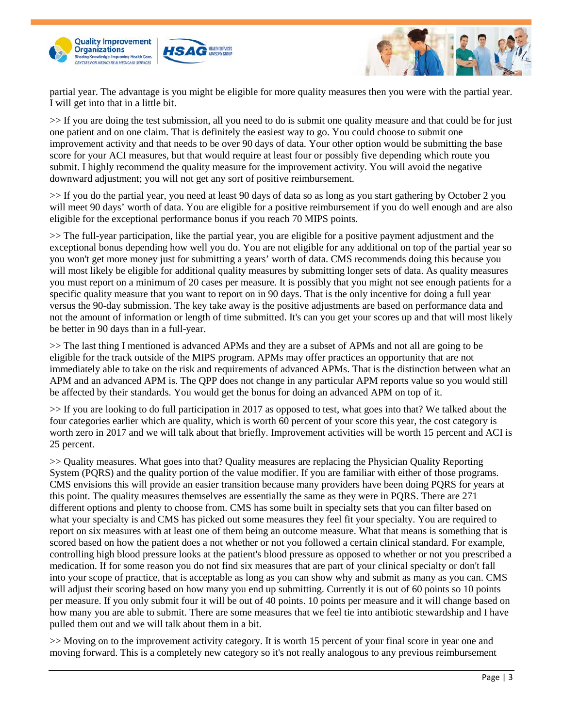





partial year. The advantage is you might be eligible for more quality measures then you were with the partial year. I will get into that in a little bit.

>> If you are doing the test submission, all you need to do is submit one quality measure and that could be for just one patient and on one claim. That is definitely the easiest way to go. You could choose to submit one improvement activity and that needs to be over 90 days of data. Your other option would be submitting the base score for your ACI measures, but that would require at least four or possibly five depending which route you submit. I highly recommend the quality measure for the improvement activity. You will avoid the negative downward adjustment; you will not get any sort of positive reimbursement.

>> If you do the partial year, you need at least 90 days of data so as long as you start gathering by October 2 you will meet 90 days' worth of data. You are eligible for a positive reimbursement if you do well enough and are also eligible for the exceptional performance bonus if you reach 70 MIPS points.

>> The full-year participation, like the partial year, you are eligible for a positive payment adjustment and the exceptional bonus depending how well you do. You are not eligible for any additional on top of the partial year so you won't get more money just for submitting a years' worth of data. CMS recommends doing this because you will most likely be eligible for additional quality measures by submitting longer sets of data. As quality measures you must report on a minimum of 20 cases per measure. It is possibly that you might not see enough patients for a specific quality measure that you want to report on in 90 days. That is the only incentive for doing a full year versus the 90-day submission. The key take away is the positive adjustments are based on performance data and not the amount of information or length of time submitted. It's can you get your scores up and that will most likely be better in 90 days than in a full-year.

>> The last thing I mentioned is advanced APMs and they are a subset of APMs and not all are going to be eligible for the track outside of the MIPS program. APMs may offer practices an opportunity that are not immediately able to take on the risk and requirements of advanced APMs. That is the distinction between what an APM and an advanced APM is. The QPP does not change in any particular APM reports value so you would still be affected by their standards. You would get the bonus for doing an advanced APM on top of it.

>> If you are looking to do full participation in 2017 as opposed to test, what goes into that? We talked about the four categories earlier which are quality, which is worth 60 percent of your score this year, the cost category is worth zero in 2017 and we will talk about that briefly. Improvement activities will be worth 15 percent and ACI is 25 percent.

>> Quality measures. What goes into that? Quality measures are replacing the Physician Quality Reporting System (PQRS) and the quality portion of the value modifier. If you are familiar with either of those programs. CMS envisions this will provide an easier transition because many providers have been doing PQRS for years at this point. The quality measures themselves are essentially the same as they were in PQRS. There are 271 different options and plenty to choose from. CMS has some built in specialty sets that you can filter based on what your specialty is and CMS has picked out some measures they feel fit your specialty. You are required to report on six measures with at least one of them being an outcome measure. What that means is something that is scored based on how the patient does a not whether or not you followed a certain clinical standard. For example, controlling high blood pressure looks at the patient's blood pressure as opposed to whether or not you prescribed a medication. If for some reason you do not find six measures that are part of your clinical specialty or don't fall into your scope of practice, that is acceptable as long as you can show why and submit as many as you can. CMS will adjust their scoring based on how many you end up submitting. Currently it is out of 60 points so 10 points per measure. If you only submit four it will be out of 40 points. 10 points per measure and it will change based on how many you are able to submit. There are some measures that we feel tie into antibiotic stewardship and I have pulled them out and we will talk about them in a bit.

>> Moving on to the improvement activity category. It is worth 15 percent of your final score in year one and moving forward. This is a completely new category so it's not really analogous to any previous reimbursement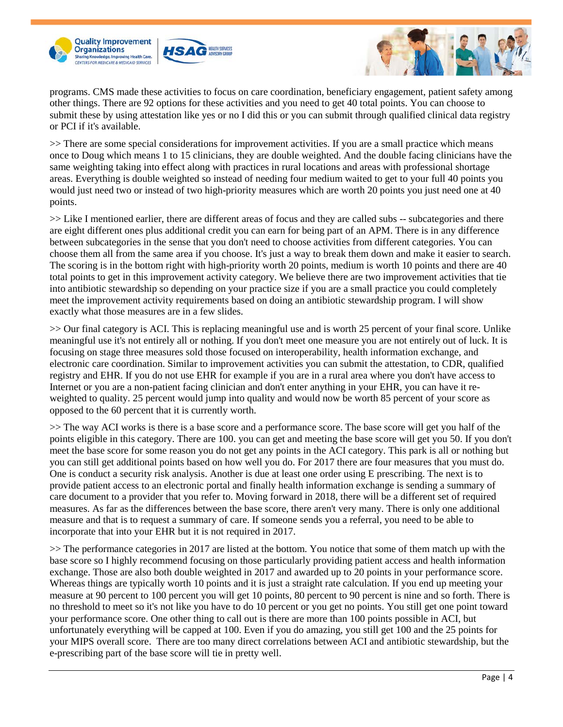





programs. CMS made these activities to focus on care coordination, beneficiary engagement, patient safety among other things. There are 92 options for these activities and you need to get 40 total points. You can choose to submit these by using attestation like yes or no I did this or you can submit through qualified clinical data registry or PCI if it's available.

>> There are some special considerations for improvement activities. If you are a small practice which means once to Doug which means 1 to 15 clinicians, they are double weighted. And the double facing clinicians have the same weighting taking into effect along with practices in rural locations and areas with professional shortage areas. Everything is double weighted so instead of needing four medium waited to get to your full 40 points you would just need two or instead of two high-priority measures which are worth 20 points you just need one at 40 points.

>> Like I mentioned earlier, there are different areas of focus and they are called subs -- subcategories and there are eight different ones plus additional credit you can earn for being part of an APM. There is in any difference between subcategories in the sense that you don't need to choose activities from different categories. You can choose them all from the same area if you choose. It's just a way to break them down and make it easier to search. The scoring is in the bottom right with high-priority worth 20 points, medium is worth 10 points and there are 40 total points to get in this improvement activity category. We believe there are two improvement activities that tie into antibiotic stewardship so depending on your practice size if you are a small practice you could completely meet the improvement activity requirements based on doing an antibiotic stewardship program. I will show exactly what those measures are in a few slides.

>> Our final category is ACI. This is replacing meaningful use and is worth 25 percent of your final score. Unlike meaningful use it's not entirely all or nothing. If you don't meet one measure you are not entirely out of luck. It is focusing on stage three measures sold those focused on interoperability, health information exchange, and electronic care coordination. Similar to improvement activities you can submit the attestation, to CDR, qualified registry and EHR. If you do not use EHR for example if you are in a rural area where you don't have access to Internet or you are a non-patient facing clinician and don't enter anything in your EHR, you can have it reweighted to quality. 25 percent would jump into quality and would now be worth 85 percent of your score as opposed to the 60 percent that it is currently worth.

>> The way ACI works is there is a base score and a performance score. The base score will get you half of the points eligible in this category. There are 100. you can get and meeting the base score will get you 50. If you don't meet the base score for some reason you do not get any points in the ACI category. This park is all or nothing but you can still get additional points based on how well you do. For 2017 there are four measures that you must do. One is conduct a security risk analysis. Another is due at least one order using E prescribing. The next is to provide patient access to an electronic portal and finally health information exchange is sending a summary of care document to a provider that you refer to. Moving forward in 2018, there will be a different set of required measures. As far as the differences between the base score, there aren't very many. There is only one additional measure and that is to request a summary of care. If someone sends you a referral, you need to be able to incorporate that into your EHR but it is not required in 2017.

>> The performance categories in 2017 are listed at the bottom. You notice that some of them match up with the base score so I highly recommend focusing on those particularly providing patient access and health information exchange. Those are also both double weighted in 2017 and awarded up to 20 points in your performance score. Whereas things are typically worth 10 points and it is just a straight rate calculation. If you end up meeting your measure at 90 percent to 100 percent you will get 10 points, 80 percent to 90 percent is nine and so forth. There is no threshold to meet so it's not like you have to do 10 percent or you get no points. You still get one point toward your performance score. One other thing to call out is there are more than 100 points possible in ACI, but unfortunately everything will be capped at 100. Even if you do amazing, you still get 100 and the 25 points for your MIPS overall score. There are too many direct correlations between ACI and antibiotic stewardship, but the e-prescribing part of the base score will tie in pretty well.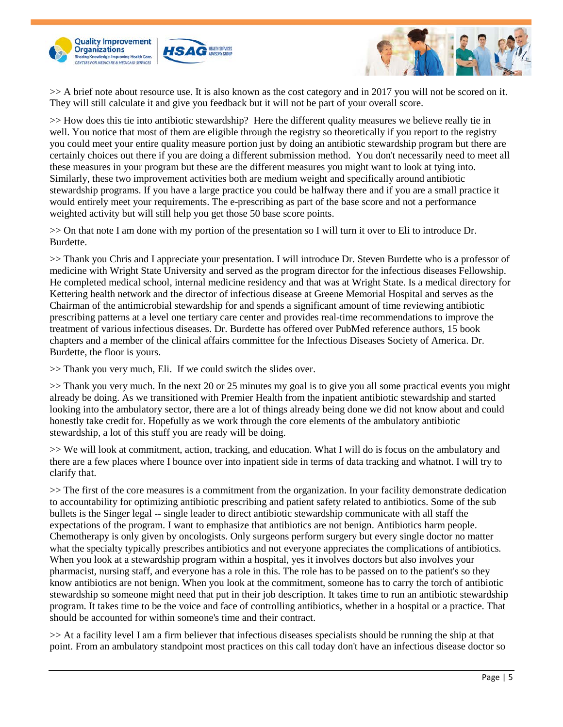



>> A brief note about resource use. It is also known as the cost category and in 2017 you will not be scored on it. They will still calculate it and give you feedback but it will not be part of your overall score.

>> How does this tie into antibiotic stewardship? Here the different quality measures we believe really tie in well. You notice that most of them are eligible through the registry so theoretically if you report to the registry you could meet your entire quality measure portion just by doing an antibiotic stewardship program but there are certainly choices out there if you are doing a different submission method. You don't necessarily need to meet all these measures in your program but these are the different measures you might want to look at tying into. Similarly, these two improvement activities both are medium weight and specifically around antibiotic stewardship programs. If you have a large practice you could be halfway there and if you are a small practice it would entirely meet your requirements. The e-prescribing as part of the base score and not a performance weighted activity but will still help you get those 50 base score points.

>> On that note I am done with my portion of the presentation so I will turn it over to Eli to introduce Dr. Burdette.

>> Thank you Chris and I appreciate your presentation. I will introduce Dr. Steven Burdette who is a professor of medicine with Wright State University and served as the program director for the infectious diseases Fellowship. He completed medical school, internal medicine residency and that was at Wright State. Is a medical directory for Kettering health network and the director of infectious disease at Greene Memorial Hospital and serves as the Chairman of the antimicrobial stewardship for and spends a significant amount of time reviewing antibiotic prescribing patterns at a level one tertiary care center and provides real-time recommendations to improve the treatment of various infectious diseases. Dr. Burdette has offered over PubMed reference authors, 15 book chapters and a member of the clinical affairs committee for the Infectious Diseases Society of America. Dr. Burdette, the floor is yours.

>> Thank you very much, Eli. If we could switch the slides over.

>> Thank you very much. In the next 20 or 25 minutes my goal is to give you all some practical events you might already be doing. As we transitioned with Premier Health from the inpatient antibiotic stewardship and started looking into the ambulatory sector, there are a lot of things already being done we did not know about and could honestly take credit for. Hopefully as we work through the core elements of the ambulatory antibiotic stewardship, a lot of this stuff you are ready will be doing.

>> We will look at commitment, action, tracking, and education. What I will do is focus on the ambulatory and there are a few places where I bounce over into inpatient side in terms of data tracking and whatnot. I will try to clarify that.

>> The first of the core measures is a commitment from the organization. In your facility demonstrate dedication to accountability for optimizing antibiotic prescribing and patient safety related to antibiotics. Some of the sub bullets is the Singer legal -- single leader to direct antibiotic stewardship communicate with all staff the expectations of the program. I want to emphasize that antibiotics are not benign. Antibiotics harm people. Chemotherapy is only given by oncologists. Only surgeons perform surgery but every single doctor no matter what the specialty typically prescribes antibiotics and not everyone appreciates the complications of antibiotics. When you look at a stewardship program within a hospital, yes it involves doctors but also involves your pharmacist, nursing staff, and everyone has a role in this. The role has to be passed on to the patient's so they know antibiotics are not benign. When you look at the commitment, someone has to carry the torch of antibiotic stewardship so someone might need that put in their job description. It takes time to run an antibiotic stewardship program. It takes time to be the voice and face of controlling antibiotics, whether in a hospital or a practice. That should be accounted for within someone's time and their contract.

>> At a facility level I am a firm believer that infectious diseases specialists should be running the ship at that point. From an ambulatory standpoint most practices on this call today don't have an infectious disease doctor so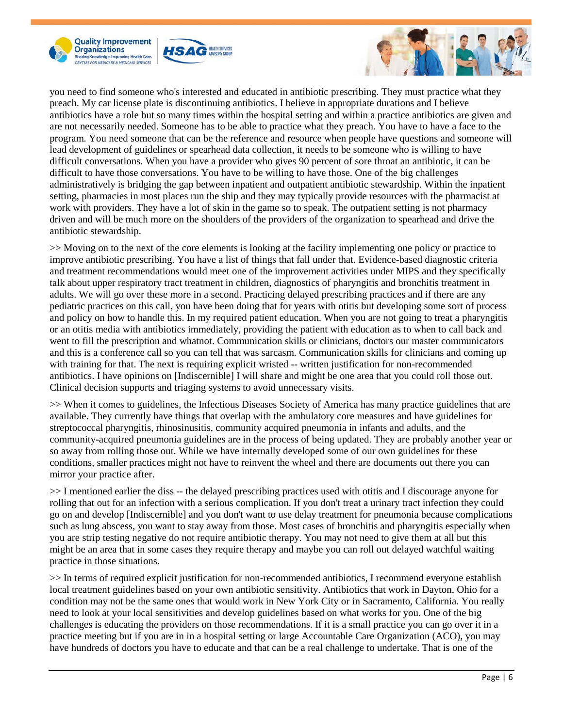





you need to find someone who's interested and educated in antibiotic prescribing. They must practice what they preach. My car license plate is discontinuing antibiotics. I believe in appropriate durations and I believe antibiotics have a role but so many times within the hospital setting and within a practice antibiotics are given and are not necessarily needed. Someone has to be able to practice what they preach. You have to have a face to the program. You need someone that can be the reference and resource when people have questions and someone will lead development of guidelines or spearhead data collection, it needs to be someone who is willing to have difficult conversations. When you have a provider who gives 90 percent of sore throat an antibiotic, it can be difficult to have those conversations. You have to be willing to have those. One of the big challenges administratively is bridging the gap between inpatient and outpatient antibiotic stewardship. Within the inpatient setting, pharmacies in most places run the ship and they may typically provide resources with the pharmacist at work with providers. They have a lot of skin in the game so to speak. The outpatient setting is not pharmacy driven and will be much more on the shoulders of the providers of the organization to spearhead and drive the antibiotic stewardship.

>> Moving on to the next of the core elements is looking at the facility implementing one policy or practice to improve antibiotic prescribing. You have a list of things that fall under that. Evidence-based diagnostic criteria and treatment recommendations would meet one of the improvement activities under MIPS and they specifically talk about upper respiratory tract treatment in children, diagnostics of pharyngitis and bronchitis treatment in adults. We will go over these more in a second. Practicing delayed prescribing practices and if there are any pediatric practices on this call, you have been doing that for years with otitis but developing some sort of process and policy on how to handle this. In my required patient education. When you are not going to treat a pharyngitis or an otitis media with antibiotics immediately, providing the patient with education as to when to call back and went to fill the prescription and whatnot. Communication skills or clinicians, doctors our master communicators and this is a conference call so you can tell that was sarcasm. Communication skills for clinicians and coming up with training for that. The next is requiring explicit wristed -- written justification for non-recommended antibiotics. I have opinions on [Indiscernible] I will share and might be one area that you could roll those out. Clinical decision supports and triaging systems to avoid unnecessary visits.

>> When it comes to guidelines, the Infectious Diseases Society of America has many practice guidelines that are available. They currently have things that overlap with the ambulatory core measures and have guidelines for streptococcal pharyngitis, rhinosinusitis, community acquired pneumonia in infants and adults, and the community-acquired pneumonia guidelines are in the process of being updated. They are probably another year or so away from rolling those out. While we have internally developed some of our own guidelines for these conditions, smaller practices might not have to reinvent the wheel and there are documents out there you can mirror your practice after.

 $\gg$  I mentioned earlier the diss -- the delayed prescribing practices used with otitis and I discourage anyone for rolling that out for an infection with a serious complication. If you don't treat a urinary tract infection they could go on and develop [Indiscernible] and you don't want to use delay treatment for pneumonia because complications such as lung abscess, you want to stay away from those. Most cases of bronchitis and pharyngitis especially when you are strip testing negative do not require antibiotic therapy. You may not need to give them at all but this might be an area that in some cases they require therapy and maybe you can roll out delayed watchful waiting practice in those situations.

>> In terms of required explicit justification for non-recommended antibiotics, I recommend everyone establish local treatment guidelines based on your own antibiotic sensitivity. Antibiotics that work in Dayton, Ohio for a condition may not be the same ones that would work in New York City or in Sacramento, California. You really need to look at your local sensitivities and develop guidelines based on what works for you. One of the big challenges is educating the providers on those recommendations. If it is a small practice you can go over it in a practice meeting but if you are in in a hospital setting or large Accountable Care Organization (ACO), you may have hundreds of doctors you have to educate and that can be a real challenge to undertake. That is one of the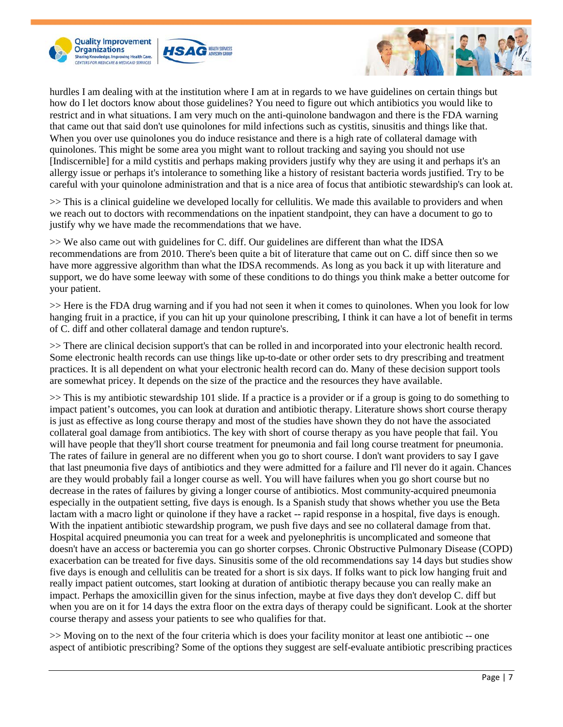





hurdles I am dealing with at the institution where I am at in regards to we have guidelines on certain things but how do I let doctors know about those guidelines? You need to figure out which antibiotics you would like to restrict and in what situations. I am very much on the anti-quinolone bandwagon and there is the FDA warning that came out that said don't use quinolones for mild infections such as cystitis, sinusitis and things like that. When you over use quinolones you do induce resistance and there is a high rate of collateral damage with quinolones. This might be some area you might want to rollout tracking and saying you should not use [Indiscernible] for a mild cystitis and perhaps making providers justify why they are using it and perhaps it's an allergy issue or perhaps it's intolerance to something like a history of resistant bacteria words justified. Try to be careful with your quinolone administration and that is a nice area of focus that antibiotic stewardship's can look at.

>> This is a clinical guideline we developed locally for cellulitis. We made this available to providers and when we reach out to doctors with recommendations on the inpatient standpoint, they can have a document to go to justify why we have made the recommendations that we have.

>> We also came out with guidelines for C. diff. Our guidelines are different than what the IDSA recommendations are from 2010. There's been quite a bit of literature that came out on C. diff since then so we have more aggressive algorithm than what the IDSA recommends. As long as you back it up with literature and support, we do have some leeway with some of these conditions to do things you think make a better outcome for your patient.

>> Here is the FDA drug warning and if you had not seen it when it comes to quinolones. When you look for low hanging fruit in a practice, if you can hit up your quinolone prescribing, I think it can have a lot of benefit in terms of C. diff and other collateral damage and tendon rupture's.

>> There are clinical decision support's that can be rolled in and incorporated into your electronic health record. Some electronic health records can use things like up-to-date or other order sets to dry prescribing and treatment practices. It is all dependent on what your electronic health record can do. Many of these decision support tools are somewhat pricey. It depends on the size of the practice and the resources they have available.

>> This is my antibiotic stewardship 101 slide. If a practice is a provider or if a group is going to do something to impact patient's outcomes, you can look at duration and antibiotic therapy. Literature shows short course therapy is just as effective as long course therapy and most of the studies have shown they do not have the associated collateral goal damage from antibiotics. The key with short of course therapy as you have people that fail. You will have people that they'll short course treatment for pneumonia and fail long course treatment for pneumonia. The rates of failure in general are no different when you go to short course. I don't want providers to say I gave that last pneumonia five days of antibiotics and they were admitted for a failure and I'll never do it again. Chances are they would probably fail a longer course as well. You will have failures when you go short course but no decrease in the rates of failures by giving a longer course of antibiotics. Most community-acquired pneumonia especially in the outpatient setting, five days is enough. Is a Spanish study that shows whether you use the Beta lactam with a macro light or quinolone if they have a racket -- rapid response in a hospital, five days is enough. With the inpatient antibiotic stewardship program, we push five days and see no collateral damage from that. Hospital acquired pneumonia you can treat for a week and pyelonephritis is uncomplicated and someone that doesn't have an access or bacteremia you can go shorter corpses. Chronic Obstructive Pulmonary Disease (COPD) exacerbation can be treated for five days. Sinusitis some of the old recommendations say 14 days but studies show five days is enough and cellulitis can be treated for a short is six days. If folks want to pick low hanging fruit and really impact patient outcomes, start looking at duration of antibiotic therapy because you can really make an impact. Perhaps the amoxicillin given for the sinus infection, maybe at five days they don't develop C. diff but when you are on it for 14 days the extra floor on the extra days of therapy could be significant. Look at the shorter course therapy and assess your patients to see who qualifies for that.

>> Moving on to the next of the four criteria which is does your facility monitor at least one antibiotic -- one aspect of antibiotic prescribing? Some of the options they suggest are self-evaluate antibiotic prescribing practices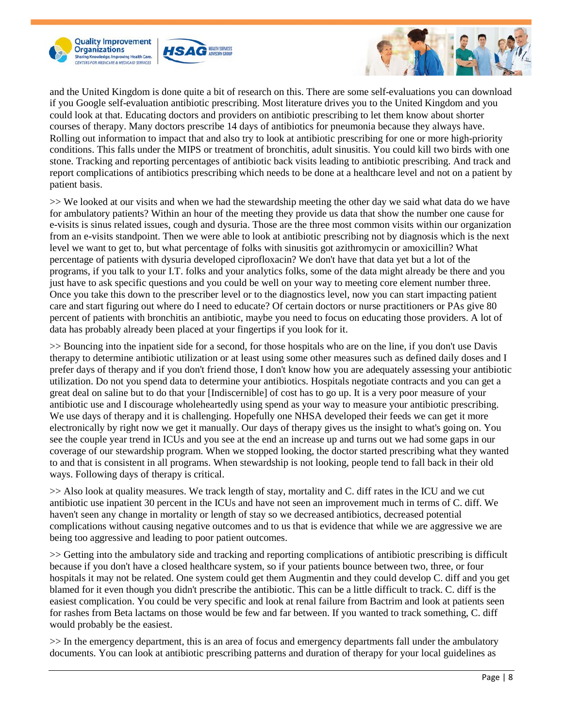





and the United Kingdom is done quite a bit of research on this. There are some self-evaluations you can download if you Google self-evaluation antibiotic prescribing. Most literature drives you to the United Kingdom and you could look at that. Educating doctors and providers on antibiotic prescribing to let them know about shorter courses of therapy. Many doctors prescribe 14 days of antibiotics for pneumonia because they always have. Rolling out information to impact that and also try to look at antibiotic prescribing for one or more high-priority conditions. This falls under the MIPS or treatment of bronchitis, adult sinusitis. You could kill two birds with one stone. Tracking and reporting percentages of antibiotic back visits leading to antibiotic prescribing. And track and report complications of antibiotics prescribing which needs to be done at a healthcare level and not on a patient by patient basis.

>> We looked at our visits and when we had the stewardship meeting the other day we said what data do we have for ambulatory patients? Within an hour of the meeting they provide us data that show the number one cause for e-visits is sinus related issues, cough and dysuria. Those are the three most common visits within our organization from an e-visits standpoint. Then we were able to look at antibiotic prescribing not by diagnosis which is the next level we want to get to, but what percentage of folks with sinusitis got azithromycin or amoxicillin? What percentage of patients with dysuria developed ciprofloxacin? We don't have that data yet but a lot of the programs, if you talk to your I.T. folks and your analytics folks, some of the data might already be there and you just have to ask specific questions and you could be well on your way to meeting core element number three. Once you take this down to the prescriber level or to the diagnostics level, now you can start impacting patient care and start figuring out where do I need to educate? Of certain doctors or nurse practitioners or PAs give 80 percent of patients with bronchitis an antibiotic, maybe you need to focus on educating those providers. A lot of data has probably already been placed at your fingertips if you look for it.

>> Bouncing into the inpatient side for a second, for those hospitals who are on the line, if you don't use Davis therapy to determine antibiotic utilization or at least using some other measures such as defined daily doses and I prefer days of therapy and if you don't friend those, I don't know how you are adequately assessing your antibiotic utilization. Do not you spend data to determine your antibiotics. Hospitals negotiate contracts and you can get a great deal on saline but to do that your [Indiscernible] of cost has to go up. It is a very poor measure of your antibiotic use and I discourage wholeheartedly using spend as your way to measure your antibiotic prescribing. We use days of therapy and it is challenging. Hopefully one NHSA developed their feeds we can get it more electronically by right now we get it manually. Our days of therapy gives us the insight to what's going on. You see the couple year trend in ICUs and you see at the end an increase up and turns out we had some gaps in our coverage of our stewardship program. When we stopped looking, the doctor started prescribing what they wanted to and that is consistent in all programs. When stewardship is not looking, people tend to fall back in their old ways. Following days of therapy is critical.

>> Also look at quality measures. We track length of stay, mortality and C. diff rates in the ICU and we cut antibiotic use inpatient 30 percent in the ICUs and have not seen an improvement much in terms of C. diff. We haven't seen any change in mortality or length of stay so we decreased antibiotics, decreased potential complications without causing negative outcomes and to us that is evidence that while we are aggressive we are being too aggressive and leading to poor patient outcomes.

>> Getting into the ambulatory side and tracking and reporting complications of antibiotic prescribing is difficult because if you don't have a closed healthcare system, so if your patients bounce between two, three, or four hospitals it may not be related. One system could get them Augmentin and they could develop C. diff and you get blamed for it even though you didn't prescribe the antibiotic. This can be a little difficult to track. C. diff is the easiest complication. You could be very specific and look at renal failure from Bactrim and look at patients seen for rashes from Beta lactams on those would be few and far between. If you wanted to track something, C. diff would probably be the easiest.

>> In the emergency department, this is an area of focus and emergency departments fall under the ambulatory documents. You can look at antibiotic prescribing patterns and duration of therapy for your local guidelines as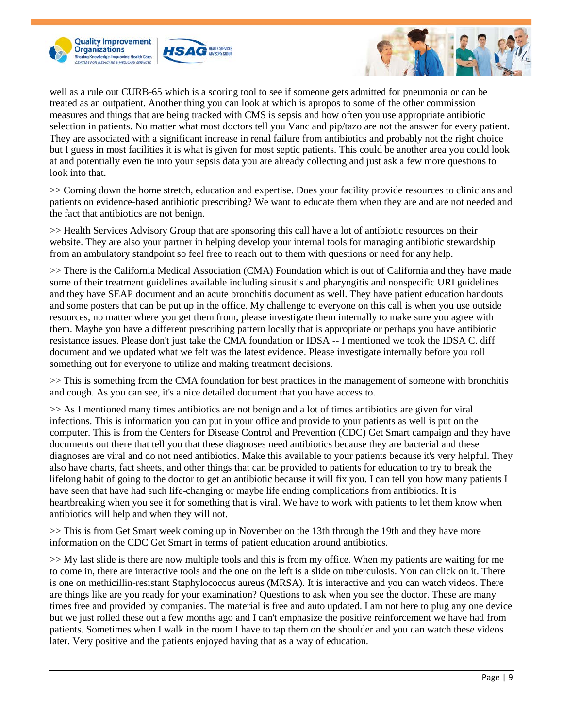





well as a rule out CURB-65 which is a scoring tool to see if someone gets admitted for pneumonia or can be treated as an outpatient. Another thing you can look at which is apropos to some of the other commission measures and things that are being tracked with CMS is sepsis and how often you use appropriate antibiotic selection in patients. No matter what most doctors tell you Vanc and pip/tazo are not the answer for every patient. They are associated with a significant increase in renal failure from antibiotics and probably not the right choice but I guess in most facilities it is what is given for most septic patients. This could be another area you could look at and potentially even tie into your sepsis data you are already collecting and just ask a few more questions to look into that.

>> Coming down the home stretch, education and expertise. Does your facility provide resources to clinicians and patients on evidence-based antibiotic prescribing? We want to educate them when they are and are not needed and the fact that antibiotics are not benign.

>> Health Services Advisory Group that are sponsoring this call have a lot of antibiotic resources on their website. They are also your partner in helping develop your internal tools for managing antibiotic stewardship from an ambulatory standpoint so feel free to reach out to them with questions or need for any help.

>> There is the California Medical Association (CMA) Foundation which is out of California and they have made some of their treatment guidelines available including sinusitis and pharyngitis and nonspecific URI guidelines and they have SEAP document and an acute bronchitis document as well. They have patient education handouts and some posters that can be put up in the office. My challenge to everyone on this call is when you use outside resources, no matter where you get them from, please investigate them internally to make sure you agree with them. Maybe you have a different prescribing pattern locally that is appropriate or perhaps you have antibiotic resistance issues. Please don't just take the CMA foundation or IDSA -- I mentioned we took the IDSA C. diff document and we updated what we felt was the latest evidence. Please investigate internally before you roll something out for everyone to utilize and making treatment decisions.

>> This is something from the CMA foundation for best practices in the management of someone with bronchitis and cough. As you can see, it's a nice detailed document that you have access to.

>> As I mentioned many times antibiotics are not benign and a lot of times antibiotics are given for viral infections. This is information you can put in your office and provide to your patients as well is put on the computer. This is from the Centers for Disease Control and Prevention (CDC) Get Smart campaign and they have documents out there that tell you that these diagnoses need antibiotics because they are bacterial and these diagnoses are viral and do not need antibiotics. Make this available to your patients because it's very helpful. They also have charts, fact sheets, and other things that can be provided to patients for education to try to break the lifelong habit of going to the doctor to get an antibiotic because it will fix you. I can tell you how many patients I have seen that have had such life-changing or maybe life ending complications from antibiotics. It is heartbreaking when you see it for something that is viral. We have to work with patients to let them know when antibiotics will help and when they will not.

>> This is from Get Smart week coming up in November on the 13th through the 19th and they have more information on the CDC Get Smart in terms of patient education around antibiotics.

>> My last slide is there are now multiple tools and this is from my office. When my patients are waiting for me to come in, there are interactive tools and the one on the left is a slide on tuberculosis. You can click on it. There is one on methicillin-resistant Staphylococcus aureus (MRSA). It is interactive and you can watch videos. There are things like are you ready for your examination? Questions to ask when you see the doctor. These are many times free and provided by companies. The material is free and auto updated. I am not here to plug any one device but we just rolled these out a few months ago and I can't emphasize the positive reinforcement we have had from patients. Sometimes when I walk in the room I have to tap them on the shoulder and you can watch these videos later. Very positive and the patients enjoyed having that as a way of education.